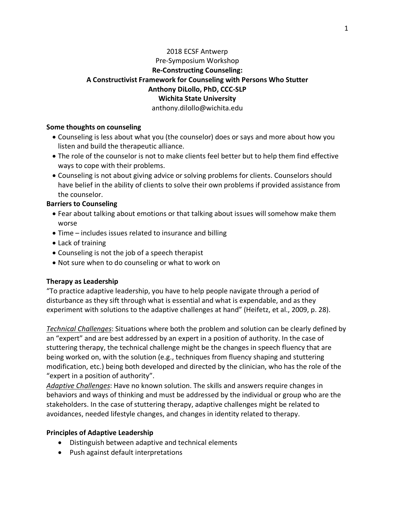# 2018 ECSF Antwerp Pre-Symposium Workshop **Re-Constructing Counseling: A Constructivist Framework for Counseling with Persons Who Stutter Anthony DiLollo, PhD, CCC-SLP Wichita State University** anthony.dilollo@wichita.edu

**Some thoughts on counseling**

- Counseling is less about what you (the counselor) does or says and more about how you listen and build the therapeutic alliance.
- The role of the counselor is not to make clients feel better but to help them find effective ways to cope with their problems.
- Counseling is not about giving advice or solving problems for clients. Counselors should have belief in the ability of clients to solve their own problems if provided assistance from the counselor.

### **Barriers to Counseling**

- Fear about talking about emotions or that talking about issues will somehow make them worse
- Time includes issues related to insurance and billing
- Lack of training
- Counseling is not the job of a speech therapist
- Not sure when to do counseling or what to work on

# **Therapy as Leadership**

"To practice adaptive leadership, you have to help people navigate through a period of disturbance as they sift through what is essential and what is expendable, and as they experiment with solutions to the adaptive challenges at hand" (Heifetz, et al., 2009, p. 28).

*Technical Challenges*: Situations where both the problem and solution can be clearly defined by an "expert" and are best addressed by an expert in a position of authority. In the case of stuttering therapy, the technical challenge might be the changes in speech fluency that are being worked on, with the solution (e.g., techniques from fluency shaping and stuttering modification, etc.) being both developed and directed by the clinician, who has the role of the "expert in a position of authority".

*Adaptive Challenges*: Have no known solution. The skills and answers require changes in behaviors and ways of thinking and must be addressed by the individual or group who are the stakeholders. In the case of stuttering therapy, adaptive challenges might be related to avoidances, needed lifestyle changes, and changes in identity related to therapy.

# **Principles of Adaptive Leadership**

- Distinguish between adaptive and technical elements
- Push against default interpretations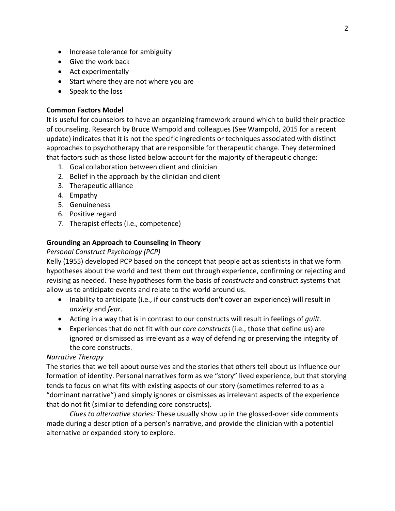- Increase tolerance for ambiguity
- Give the work back
- Act experimentally
- Start where they are not where you are
- Speak to the loss

#### **Common Factors Model**

It is useful for counselors to have an organizing framework around which to build their practice of counseling. Research by Bruce Wampold and colleagues (See Wampold, 2015 for a recent update) indicates that it is not the specific ingredients or techniques associated with distinct approaches to psychotherapy that are responsible for therapeutic change. They determined that factors such as those listed below account for the majority of therapeutic change:

- 1. Goal collaboration between client and clinician
- 2. Belief in the approach by the clinician and client
- 3. Therapeutic alliance
- 4. Empathy
- 5. Genuineness
- 6. Positive regard
- 7. Therapist effects (i.e., competence)

### **Grounding an Approach to Counseling in Theory**

### *Personal Construct Psychology (PCP)*

Kelly (1955) developed PCP based on the concept that people act as scientists in that we form hypotheses about the world and test them out through experience, confirming or rejecting and revising as needed. These hypotheses form the basis of *constructs* and construct systems that allow us to anticipate events and relate to the world around us.

- Inability to anticipate (i.e., if our constructs don't cover an experience) will result in *anxiety* and *fear*.
- Acting in a way that is in contrast to our constructs will result in feelings of *guilt*.
- Experiences that do not fit with our *core constructs* (i.e., those that define us) are ignored or dismissed as irrelevant as a way of defending or preserving the integrity of the core constructs.

#### *Narrative Therapy*

The stories that we tell about ourselves and the stories that others tell about us influence our formation of identity. Personal narratives form as we "story" lived experience, but that storying tends to focus on what fits with existing aspects of our story (sometimes referred to as a "dominant narrative") and simply ignores or dismisses as irrelevant aspects of the experience that do not fit (similar to defending core constructs).

*Clues to alternative stories:* These usually show up in the glossed-over side comments made during a description of a person's narrative, and provide the clinician with a potential alternative or expanded story to explore.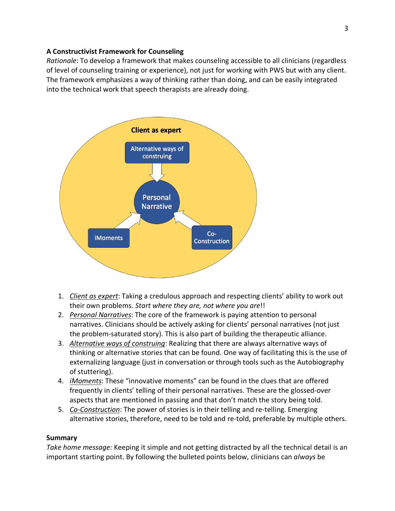### **A Constructivist Framework for Counseling**

*Rationale*: To develop a framework that makes counseling accessible to all clinicians (regardless of level of counseling training or experience), not just for working with PWS but with any client. The framework emphasizes a way of thinking rather than doing, and can be easily integrated into the technical work that speech therapists are already doing.



- 1. *Client as expert*: Taking a credulous approach and respecting clients' ability to work out their own problems. *Start where they are, not where you are*!!
- 2. *Personal Narratives*: The core of the framework is paying attention to personal narratives. Clinicians should be actively asking for clients' personal narratives (not just the problem-saturated story). This is also part of building the therapeutic alliance.
- 3. *Alternative ways of construing*: Realizing that there are always alternative ways of thinking or alternative stories that can be found. One way of facilitating this is the use of externalizing language (just in conversation or through tools such as the Autobiography of stuttering).
- 4. *iMoments*: These "innovative moments" can be found in the clues that are offered frequently in clients' telling of their personal narratives. These are the glossed-over aspects that are mentioned in passing and that don't match the story being told.
- 5. *Co-Construction*: The power of stories is in their telling and re-telling. Emerging alternative stories, therefore, need to be told and re-told, preferable by multiple others.

# **Summary**

*Take home message:* Keeping it simple and not getting distracted by all the technical detail is an important starting point. By following the bulleted points below, clinicians can *always* be